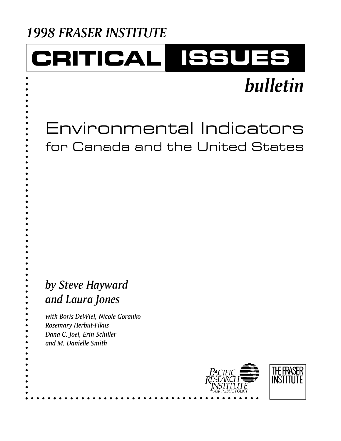## *1998 FRASER INSTITUTE*

## CRITICAL ISSUES

# *bulletin*

Environmental Indicators for Canada and the United States

## *by Steve Hayward and Laura Jones*

*with Boris DeWiel, Nicole Goranko Rosemary Herbut-Fikus Dana C. Joel, Erin Schiller and M. Danielle Smith*

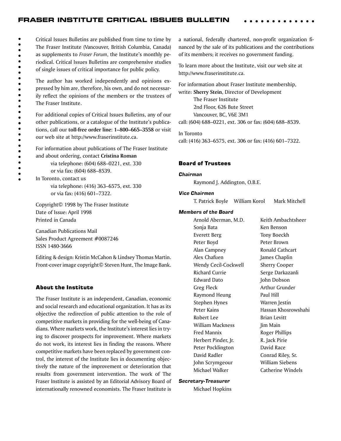#### FRASER INSTITUTE CRITICAL ISSUES BULLETIN

 $\bullet$ Critical Issues Bulletins are published from time to time by  $\bullet$ The Fraser Institute (Vancouver, British Columbia, Canada)  $\ddot{\bullet}$ as supplements to *Fraser Forum*, the Institute's monthly pe- $\bullet$ <br> $\bullet$ riodical. Critical Issues Bulletins are comprehensive studies of single issues of critical importance for public policy.

 $\ddot{\bullet}$  $\bullet$ 

 $\ddot{\bullet}$ 

 $\bullet$  $\bullet$  $\bullet$  $\bullet$  $\bullet$  $\bullet$  $\bullet$  $\bullet$  $\bullet$  The author has worked independently and opinions expressed by him are, therefore, his own, and do not necessarily reflect the opinions of the members or the trustees of The Fraser Institute.

For additional copies of Critical Issues Bulletins, any of our other publications, or a catalogue of the Institute's publications, call our **toll-free order line: 1–800–665–3558** or visit our web site at http://www.fraserinstitute.ca.

For information about publications of The Fraser Institute and about ordering, contact **Cristina Roman**

> via telephone: (604) 688–0221, ext. 330 or via fax: (604) 688–8539.

In Toronto, contact us via telephone: (416) 363–6575, ext. 330 or via fax: (416) 601–7322.

Copyright© 1998 by The Fraser Institute Date of Issue: April 1998 Printed in Canada

Canadian Publications Mail Sales Product Agreement #0087246 ISSN 1480-3666

Editing & design: Kristin McCahon & Lindsey Thomas Martin. Front-cover image copyright© Steven Hunt, The Image Bank.

#### About the Institute

The Fraser Institute is an independent, Canadian, economic and social research and educational organization. It has as its objective the redirection of public attention to the role of competitive markets in providing for the well-being of Canadians. Where markets work, the Institute's interest lies in trying to discover prospects for improvement. Where markets do not work, its interest lies in finding the reasons. Where competitive markets have been replaced by government control, the interest of the Institute lies in documenting objectively the nature of the improvement or deterioration that results from government intervention. The work of The Fraser Institute is assisted by an Editorial Advisory Board of internationally renowned economists. The Fraser Institute is

a national, federally chartered, non-profit organization financed by the sale of its publications and the contributions of its members; it receives no government funding.

To learn more about the Institute, visit our web site at http://www.fraserinstitute.ca.

For information about Fraser Institute membership, write: **Sherry Stein**, Director of Development The Fraser Institute 2nd Floor, 626 Bute Street Vancouver, BC, V6E 3M1 call: (604) 688–0221, ext. 306 or fax: (604) 688–8539.

In Toronto call: (416) 363–6575, ext. 306 or fax: (416) 601–7322.

#### Board of Trustees

#### *Chairman*

Raymond J. Addington, O.B.E.

#### *Vice Chairmen*

T. Patrick Boyle William Korol Mark Mitchell

#### *Members of the Board*

Arnold Aberman, M.D. Keith Ambachtsheer Sonja Bata Ken Benson Everett Berg Tony Boeckh Peter Boyd Peter Brown Alan Campney **Ronald Cathcart** Alex Chafuen James Chaplin Wendy Cecil-Cockwell Sherry Cooper Richard Currie Serge Darkazanli Edward Dato **John Dobson** Greg Fleck **Arthur Grunder** Raymond Heung Paul Hill Stephen Hynes Warren Jestin Peter Kains **Hassan Khosrowshahi** Robert Lee Brian Levitt William Mackness Jim Main Fred Mannix **Roger Phillips** Herbert Pinder, Jr. R. Jack Pirie Peter Pocklington David Race David Radler Conrad Riley, Sr. John Scrymgeour William Siebens Michael Walker **Catherine Windels** 

#### *Secretary-Treasurer*

Michael Hopkins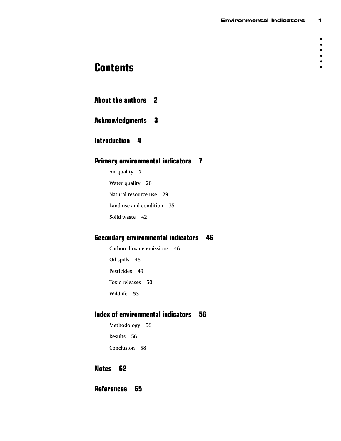## **Contents**

|  |  | <b>About the authors 2</b> |  |
|--|--|----------------------------|--|
|--|--|----------------------------|--|

### **Acknowledgments 3**

### **Introduction 4**

### **Primary environmental indicators 7**

Air quality 7 Water quality 20 Natural resource use 29 Land use and condition 35 Solid waste 42

### **Secondary environmental indicators 46**

Carbon dioxide emissions 46 Oil spills 48 Pesticides 49 Toxic releases 50 Wildlife 53

### **Index of environmental indicators 56**

Methodology 56 Results 56 Conclusion 58

### **Notes 62**

**References 65**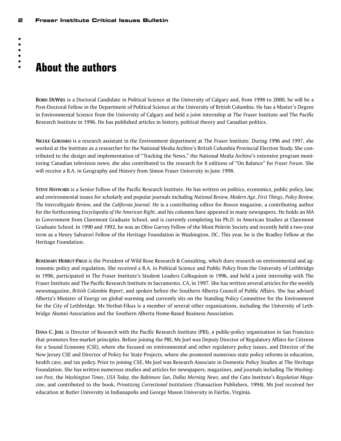## **About the authors**

**BORIS DEWIEL** is a Doctoral Candidate in Political Science at the University of Calgary and, from 1998 to 2000, he will be a Post-Doctoral Fellow in the Department of Political Science at the University of British Columbia. He has a Master's Degree in Environmental Science from the University of Calgary and held a joint internship at The Fraser Institute and The Pacific Research Institute in 1996. He has published articles in history, political theory and Canadian politics.

**NICOLE GORANKO** is a research assistant in the Environment department at The Fraser Institute. During 1996 and 1997, she worked at the Institute as a researcher for the National Media Archive's British Columbia Provincial Election Study. She contributed to the design and implementation of "Tracking the News," the National Media Archive's extensive program monitoring Canadian television news; she also contributed to the research for 8 editions of "On Balance" for *Fraser Forum.* She will receive a B.A. in Geography and History from Simon Fraser University in June 1998.

**STEVE HAYWARD** is a Senior Fellow of the Pacific Research Institute. He has written on politics, economics, public policy, law, and environmental issues for scholarly and popular journals including *National Review*, *Modern Age*, *First Things*, *Policy Review*, *The Intercollegiate Review*, and the *California Journal*. He is a contributing editor for *Reason* magazine, a contributing author for the forthcoming *Encyclopedia of the American Right*, and his columns have appeared in many newspapers. He holds an MA in Government from Claremont Graduate School, and is currently completing his Ph.D. in American Studies at Claremont Graduate School. In 1990 and 1992, he was an Olive Garvey Fellow of the Mont Pelerin Society and recently held a two-year term as a Henry Salvatori Fellow of the Heritage Foundation in Washington, DC. This year, he is the Bradley Fellow at the Heritage Foundation.

**ROSEMARY HERBUT-FIKUS** is the President of Wild Rose Research & Consulting, which does research on environmental and agronomic policy and regulation. She received a B.A. in Political Science and Public Policy from the University of Lethbridge in 1996, participated in The Fraser Institute's Student Leaders Colloquium in 1996, and held a joint internship with The Fraser Institute and The Pacific Research Institute in Sacramento, CA, in 1997. She has written several articles for the weekly newsmagazine, *British Columbia Report*, and spoken before the Southern Alberta Council of Public Affairs. She has advised Alberta's Minister of Energy on global warming and currently sits on the Standing Policy Committee for the Environment for the City of Lethbridge. Ms Herbut-Fikus is a member of several other organizations, including the University of Lethbridge Alumni Association and the Southern Alberta Home-Based Business Association.

**DANA C. JOEL** is Director of Research with the Pacific Research Institute (PRI), a public-policy organization in San Francisco that promotes free-market principles. Before joining the PRI, Ms Joel was Deputy Director of Regulatory Affairs for Citizens for a Sound Economy (CSE), where she focused on environmental and other regulatory policy issues, and Director of the New Jersey CSE and Director of Policy for State Projects, where she promoted numerous state policy reforms in education, health care, and tax policy. Prior to joining CSE, Ms Joel was Research Associate in Domestic Policy Studies at The Heritage Foundation. She has written numerous studies and articles for newspapers, magazines, and journals including *The Washington Post*, the *Washington Times*, *USA Today*, the *Baltimore Sun*, *Dallas Morning News*, and the Cato Institute's *Regulation Magazine*, and contributed to the book, *Privatizing Correctional Institutions* (Transaction Publishers, 1994). Ms Joel received her education at Butler University in Indianapolis and George Mason University in Fairfax, Virginia.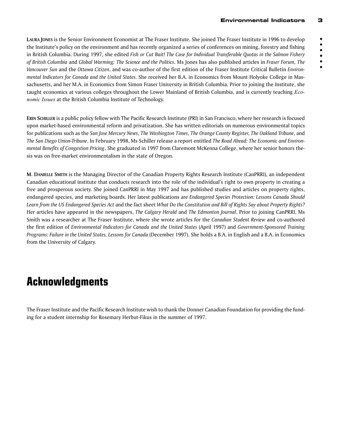**LAURA JONES** is the Senior Environment Economist at The Fraser Institute. She joined The Fraser Institute in 1996 to develop the Institute's policy on the environment and has recently organized a series of conferences on mining, forestry and fishing in British Columbia. During 1997, she edited *Fish or Cut Bait! The Case for Individual Transferable Quotas in the Salmon Fishery of British Columbia* and *Global Warming: The Science and the Politics*. Ms Jones has also published articles in *Fraser Forum, The Vancouver Sun* and the *Ottawa Citizen*, and was co-author of the first edition of the Fraser Institute Critical Bulletin *Environmental Indicators for Canada and the United States.* She received her B.A. in Economics from Mount Holyoke College in Massachusetts, and her M.A. in Economics from Simon Fraser University in British Columbia. Prior to joining the Institute, she taught economics at various colleges throughout the Lower Mainland of British Columbia, and is currently teaching *Economic Issues* at the British Columbia Institute of Technology.

**ERIN SCHILLER** is a public policy fellow with The Pacific Research Institute (PRI) in San Francisco, where her research is focused upon market-based environmental reform and privatization. She has written editorials on numerous environmental topics for publications such as the *San Jose Mercury News*, *The Washington Times*, *The Orange County Register*, *The Oakland Tribune*, and *The San Diego Union-Tribune*. In February 1998, Ms Schiller release a report entitled *The Road Ahead: The Economic and Environmental Benefits of Congestion Pricing*. She graduated in 1997 from Claremont McKenna College, where her senior honors thesis was on free-market environmentalism in the state of Oregon.

**M. DANIELLE SMITH** is the Managing Director of the Canadian Property Rights Research Institute (CanPRRI), an independent Canadian educational institute that conducts research into the role of the individual's right to own property in creating a free and prosperous society. She joined CanPRRI in May 1997 and has published studies and articles on property rights, endangered species, and marketing boards. Her latest publications are *Endangered Species Protection: Lessons Canada Should Learn from the US Endangered Species Act* and the fact sheet *What Do the Constitution and Bill of Rights Say about Property Rights?* Her articles have appeared in the newspapers, *The Calgary Herald* and *The Edmonton Journal*. Prior to joining CanPRRI, Ms Smith was a researcher at The Fraser Institute, where she wrote articles for the *Canadian Student Review* and co-authored the first edition of *Environmental Indicators for Canada and the United States* (April 1997) and *Government-Sponsored Training Programs: Failure in the United States, Lessons for Canada* (December 1997). She holds a B.A. in English and a B.A. in Economics from the University of Calgary.

## **Acknowledgments**

The Fraser Institute and the Pacific Research Institute wish to thank the Donner Canadian Foundation for providing the funding for a student internship for Rosemary Herbut-Fikus in the summer of 1997.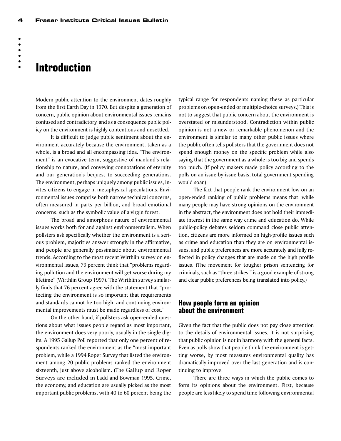## **Introduction**

Modern public attention to the environment dates roughly from the first Earth Day in 1970. But despite a generation of concern, public opinion about environmental issues remains confused and contradictory, and as a consequence public policy on the environment is highly contentious and unsettled.

It is difficult to judge public sentiment about the environment accurately because the environment, taken as a whole, is a broad and all encompassing idea. "The environment" is an evocative term, suggestive of mankind's relationship to nature, and conveying connotations of eternity and our generation's bequest to succeeding generations. The environment, perhaps uniquely among public issues, invites citizens to engage in metaphysical speculations. Environmental issues comprise both narrow technical concerns, often measured in parts per billion, and broad emotional concerns, such as the symbolic value of a virgin forest.

The broad and amorphous nature of environmental issues works both for and against environmentalism. When pollsters ask specifically whether the environment is a serious problem, majorities answer strongly in the affirmative, and people are generally pessimistic about environmental trends. According to the most recent Wirthlin survey on environmental issues, 79 percent think that "problems regarding pollution and the environment will get worse during my lifetime" (Wirthlin Group 1997). The Wirthlin survey similarly finds that 76 percent agree with the statement that "protecting the environment is so important that requirements and standards cannot be too high, and continuing environmental improvements must be made regardless of cost."

On the other hand, if pollsters ask open-ended questions about what issues people regard as most important, the environment does very poorly, usually in the single digits. A 1995 Gallup Poll reported that only one percent of respondents ranked the environment as the "most important problem, while a 1994 Roper Survey that listed the environment among 20 public problems ranked the environment sixteenth, just above alcoholism. (The Gallup and Roper Surveys are included in Ladd and Bowman 1995. Crime, the economy, and education are usually picked as the most important public problems, with 40 to 60 percent being the

typical range for respondents naming these as particular problems on open-ended or multiple-choice surveys.) This is not to suggest that public concern about the environment is overstated or misunderstood. Contradiction within public opinion is not a new or remarkable phenomenon and the environment is similar to many other public issues where the public often tells pollsters that the government does not spend enough money on the specific problem while also saying that the government as a whole is too big and spends too much. (If policy makers made policy according to the polls on an issue-by-issue basis, total government spending would soar.)

The fact that people rank the environment low on an open-ended ranking of public problems means that, while many people may have strong opinions on the environment in the abstract, the environment does not hold their immediate interest in the same way crime and education do. While public-policy debates seldom command close public attention, citizens are more informed on high-profile issues such as crime and education than they are on environmental issues, and public preferences are more accurately and fully reflected in policy changes that are made on the high profile issues. (The movement for tougher prison sentencing for criminals, such as "three strikes," is a good example of strong and clear public preferences being translated into policy.)

#### **How people form an opinion about the environment**

Given the fact that the public does not pay close attention to the details of environmental issues, it is not surprising that public opinion is not in harmony with the general facts. Even as polls show that people think the environment is getting worse, by most measures environmental quality has dramatically improved over the last generation and is continuing to improve.

There are three ways in which the public comes to form its opinions about the environment. First, because people are less likely to spend time following environmental

 $-$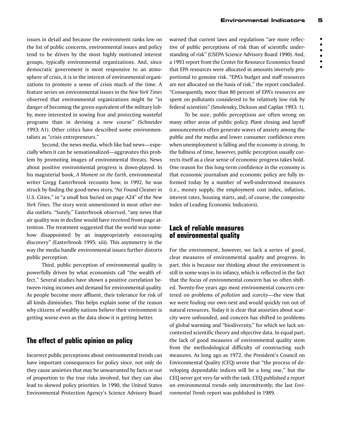issues in detail and because the environment ranks low on the list of public concerns, environmental issues and policy tend to be driven by the most highly motivated interest groups, typically environmental organizations. And, since democratic government is most responsive to an atmosphere of crisis, it is in the interest of environmental organizations to promote a sense of crisis much of the time. A feature series on environmental issues in the *New York Times* observed that environmental organizations might be "in danger of becoming the green equivalent of the military lobby, more interested in sowing fear and protecting wasteful programs than in devising a new course" (Schneider 1993: A1). Other critics have described some environmentalists as "crisis entrepreneurs."

Second, the news media, which like bad news—especially when it can be sensationalized—aggravates this problem by promoting images of environmental threats. News about positive environmental progress is down-played. In his magisterial book, *A Moment on the Earth*, environmental writer Gregg Easterbrook recounts how, in 1992, he was struck by finding the good-news story, "Air Found Cleaner in U.S. Cities," in "a small box buried on page A24" of the *New York Times.* The story went unmentioned in most other media outlets. "Surely," Easterbrook observed, "any news that air quality was in decline would have received front-page attention. The treatment suggested that the world was somehow disappointed by an inappropriately encouraging discovery" (Easterbrook 1995: xiii). This asymmetry in the way the media handle environmental issues further distorts public perception.

Third, public perception of environmental quality is powerfully driven by what economists call "the wealth effect." Several studies have shown a positive correlation between rising incomes and demand for environmental quality. As people become more affluent, their tolerance for risk of all kinds diminishes. This helps explain some of the reason why citizens of wealthy nations believe their environment is getting worse even as the data show it is getting better.

### **The effect of public opinion on policy**

Incorrect public perceptions about environmental trends can have important consequences for policy since, not only do they cause anxieties that may be unwarranted by facts or out of proportion to the true risks involved, but they can also lead to skewed policy priorities. In 1990, the United States Environmental Protection Agency's Science Advisory Board warned that current laws and regulations "are more reflective of public perceptions of risk than of scientific understanding of risk" (USEPA Science Advisory Board 1990). And, a 1993 report from the Center for Resource Economics found that EPA resources were allocated in amounts inversely proportional to genuine risk. "EPA's budget and staff resources are not allocated on the basis of risk," the report concluded. "Consequently, more than 80 percent of EPA's resources are spent on pollutants considered to be relatively low risk by federal scientists" (Smolensky, Dickson and Caplan 1993: 1).

To be sure, public perceptions are often wrong on many other areas of public policy. Plant closing and layoff announcements often generate waves of anxiety among the public and the media and lower consumer confidence even when unemployment is falling and the economy is strong. In the fullness of time, however, public perception usually corrects itself as a clear sense of economic progress takes hold. One reason for this long-term confidence in the economy is that economic journalism and economic policy are fully informed today by a number of well-understood measures (i.e., money supply, the employment cost index, inflation, interest rates, housing starts, and, of course, the composite Index of Leading Economic Indicators).

#### **Lack of reliable measures of environmental quality**

For the environment, however, we lack a series of good, clear measures of environmental quality and progress. In part, this is because our thinking about the environment is still in some ways in its infancy, which is reflected in the fact that the focus of environmental concern has so often shifted. Twenty-five years ago most environmental concern centered on problems of *pollution* and *scarcity*—the view that we were fouling our own nest and would quickly run out of natural resources. Today it is clear that anxieties about scarcity were unfounded, and concern has shifted to problems of global warming and "biodiversity," for which we lack uncontested scientific theory and objective data. In equal part, the lack of good measures of environmental quality stem from the methodological difficulty of constructing such measures. As long ago as 1972, the President's Council on Environmental Quality (CEQ) wrote that "the process of developing dependable indices will be a long one," but the CEQ never got very far with the task. CEQ published a report on environmental trends only intermittently; the last *Environmental Trends* report was published in 1989.